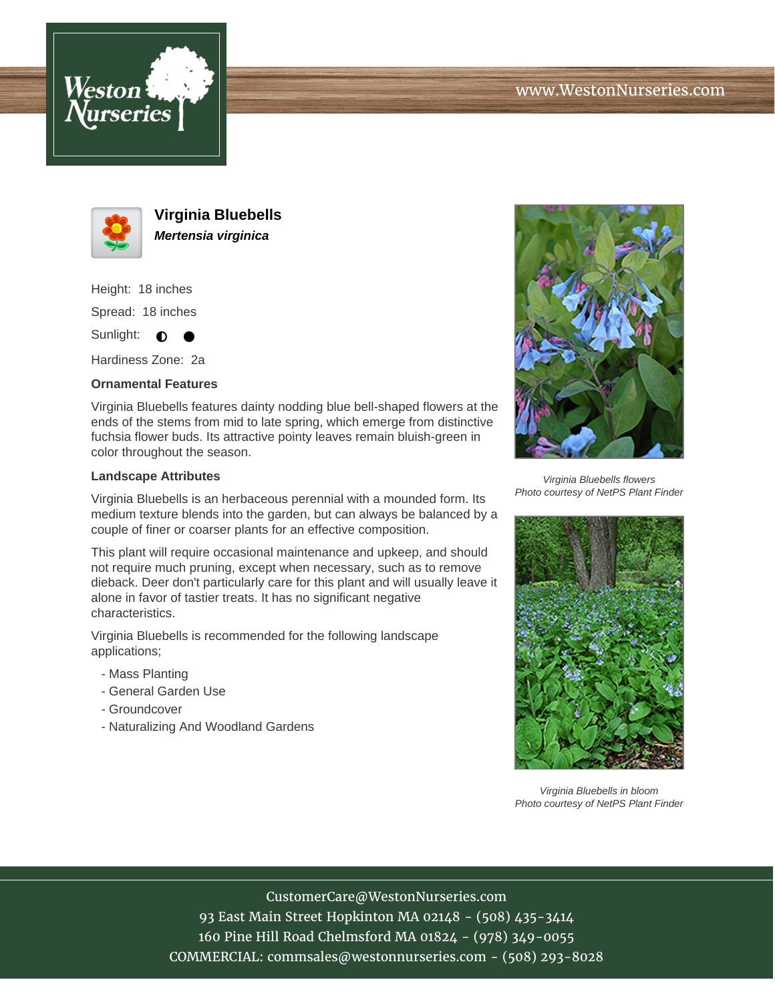



**Virginia Bluebells Mertensia virginica**

Height: 18 inches Spread: 18 inches Sunlight: 0 **0** 

Hardiness Zone: 2a

## **Ornamental Features**

Virginia Bluebells features dainty nodding blue bell-shaped flowers at the ends of the stems from mid to late spring, which emerge from distinctive fuchsia flower buds. Its attractive pointy leaves remain bluish-green in color throughout the season.

## **Landscape Attributes**

Virginia Bluebells is an herbaceous perennial with a mounded form. Its medium texture blends into the garden, but can always be balanced by a couple of finer or coarser plants for an effective composition.

This plant will require occasional maintenance and upkeep, and should not require much pruning, except when necessary, such as to remove dieback. Deer don't particularly care for this plant and will usually leave it alone in favor of tastier treats. It has no significant negative characteristics.

Virginia Bluebells is recommended for the following landscape applications;

- Mass Planting
- General Garden Use
- Groundcover
- Naturalizing And Woodland Gardens



Virginia Bluebells flowers Photo courtesy of NetPS Plant Finder



Virginia Bluebells in bloom Photo courtesy of NetPS Plant Finder

CustomerCare@WestonNurseries.com

93 East Main Street Hopkinton MA 02148 - (508) 435-3414 160 Pine Hill Road Chelmsford MA 01824 - (978) 349-0055 COMMERCIAL: commsales@westonnurseries.com - (508) 293-8028